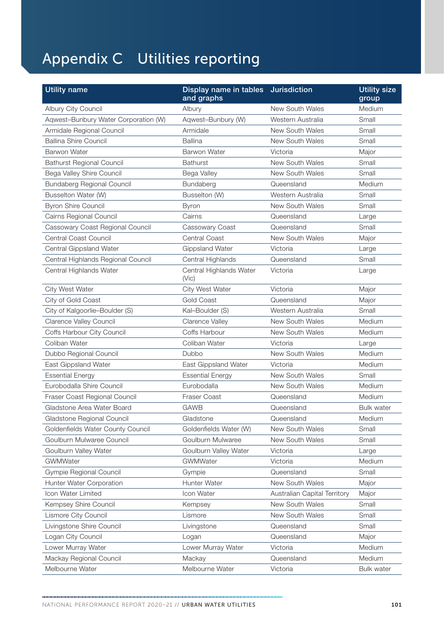## Appendix C Utilities reporting

| <b>Utility name</b>                  | Display name in tables<br>and graphs | <b>Jurisdiction</b>          | <b>Utility size</b><br>group |
|--------------------------------------|--------------------------------------|------------------------------|------------------------------|
| Albury City Council                  | Albury                               | New South Wales              | Medium                       |
| Aqwest-Bunbury Water Corporation (W) | Aqwest-Bunbury (W)                   | Western Australia            | Small                        |
| Armidale Regional Council            | Armidale                             | New South Wales              | Small                        |
| <b>Ballina Shire Council</b>         | Ballina                              | New South Wales              | Small                        |
| <b>Barwon Water</b>                  | <b>Barwon Water</b>                  | Victoria                     | Major                        |
| <b>Bathurst Regional Council</b>     | <b>Bathurst</b>                      | New South Wales              | Small                        |
| Bega Valley Shire Council            | Bega Valley                          | New South Wales              | Small                        |
| <b>Bundaberg Regional Council</b>    | Bundaberg                            | Queensland                   | Medium                       |
| Busselton Water (W)                  | Busselton (W)                        | Western Australia            | Small                        |
| <b>Byron Shire Council</b>           | <b>Byron</b>                         | New South Wales              | Small                        |
| Cairns Regional Council              | Cairns                               | Queensland                   | Large                        |
| Cassowary Coast Regional Council     | Cassowary Coast                      | Queensland                   | Small                        |
| Central Coast Council                | <b>Central Coast</b>                 | New South Wales              | Major                        |
| <b>Central Gippsland Water</b>       | Gippsland Water                      | Victoria                     | Large                        |
| Central Highlands Regional Council   | Central Highlands                    | Queensland                   | Small                        |
| Central Highlands Water              | Central Highlands Water<br>(Vic)     | Victoria                     | Large                        |
| City West Water                      | City West Water                      | Victoria                     | Major                        |
| City of Gold Coast                   | <b>Gold Coast</b>                    | Queensland                   | Major                        |
| City of Kalgoorlie-Boulder (S)       | Kal-Boulder (S)                      | Western Australia            | Small                        |
| Clarence Valley Council              | Clarence Valley                      | New South Wales              | Medium                       |
| Coffs Harbour City Council           | Coffs Harbour                        | New South Wales              | Medium                       |
| Coliban Water                        | Coliban Water                        | Victoria                     | Large                        |
| Dubbo Regional Council               | Dubbo                                | New South Wales              | Medium                       |
| East Gippsland Water                 | East Gippsland Water                 | Victoria                     | Medium                       |
| <b>Essential Energy</b>              | <b>Essential Energy</b>              | New South Wales              | Small                        |
| Eurobodalla Shire Council            | Eurobodalla                          | New South Wales              | Medium                       |
| Fraser Coast Regional Council        | Fraser Coast                         | Queensland                   | Medium                       |
| Gladstone Area Water Board           | <b>GAWB</b>                          | Queensland                   | <b>Bulk water</b>            |
| Gladstone Regional Council           | Gladstone                            | Queensland                   | Medium                       |
| Goldenfields Water County Council    | Goldenfields Water (W)               | New South Wales              | Small                        |
| Goulburn Mulwaree Council            | Goulburn Mulwaree                    | New South Wales              | Small                        |
| Goulburn Valley Water                | Goulburn Valley Water                | Victoria                     | Large                        |
| GWMWater                             | GWMWater                             | Victoria                     | Medium                       |
| Gympie Regional Council              | Gympie                               | Queensland                   | Small                        |
| Hunter Water Corporation             | Hunter Water                         | New South Wales              | Major                        |
| Icon Water Limited                   | Icon Water                           | Australian Capital Territory | Major                        |
| Kempsey Shire Council                | Kempsey                              | New South Wales              | Small                        |
| Lismore City Council                 | Lismore                              | New South Wales              | Small                        |
| Livingstone Shire Council            | Livingstone                          | Queensland                   | Small                        |
| Logan City Council                   | Logan                                | Queensland                   | Major                        |
| Lower Murray Water                   | Lower Murray Water                   | Victoria                     | Medium                       |
| Mackay Regional Council              | Mackay                               | Queensland                   | Medium                       |
| Melbourne Water                      | Melbourne Water                      | Victoria                     | <b>Bulk water</b>            |